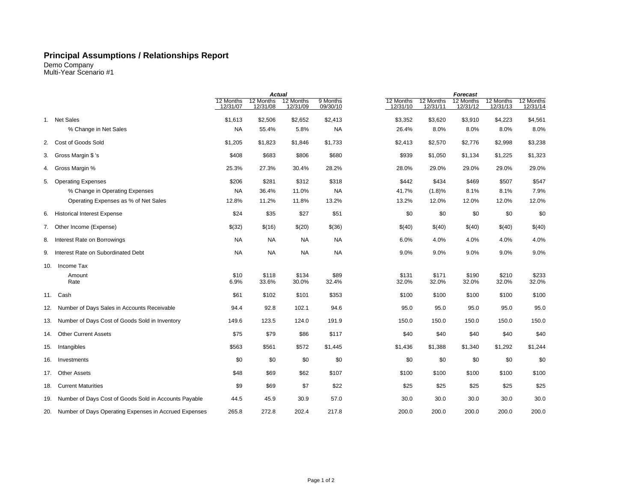## **Principal Assumptions / Relationships Report**

Demo Company Multi-Year Scenario #1

|     |                                                       | <b>Actual</b>         |                       |                       | Forecast             |                       |                       |                       |                       |                       |
|-----|-------------------------------------------------------|-----------------------|-----------------------|-----------------------|----------------------|-----------------------|-----------------------|-----------------------|-----------------------|-----------------------|
|     |                                                       | 12 Months<br>12/31/07 | 12 Months<br>12/31/08 | 12 Months<br>12/31/09 | 9 Months<br>09/30/10 | 12 Months<br>12/31/10 | 12 Months<br>12/31/11 | 12 Months<br>12/31/12 | 12 Months<br>12/31/13 | 12 Months<br>12/31/14 |
|     |                                                       |                       |                       |                       |                      |                       |                       |                       |                       |                       |
|     | 1. Net Sales                                          | \$1,613               | \$2,506               | \$2,652               | \$2,413              | \$3,352               | \$3,620               | \$3,910               | \$4,223               | \$4,561               |
|     | % Change in Net Sales                                 | <b>NA</b>             | 55.4%                 | 5.8%                  | <b>NA</b>            | 26.4%                 | 8.0%                  | 8.0%                  | 8.0%                  | 8.0%                  |
| 2.  | Cost of Goods Sold                                    | \$1,205               | \$1,823               | \$1,846               | \$1,733              | \$2,413               | \$2,570               | \$2,776               | \$2,998               | \$3,238               |
| 3.  | Gross Margin \$ 's                                    | \$408                 | \$683                 | \$806                 | \$680                | \$939                 | \$1,050               | \$1,134               | \$1,225               | \$1,323               |
| 4.  | Gross Margin %                                        | 25.3%                 | 27.3%                 | 30.4%                 | 28.2%                | 28.0%                 | 29.0%                 | 29.0%                 | 29.0%                 | 29.0%                 |
| 5.  | <b>Operating Expenses</b>                             | \$206                 | \$281                 | \$312                 | \$318                | \$442                 | \$434                 | \$469                 | \$507                 | \$547                 |
|     | % Change in Operating Expenses                        | <b>NA</b>             | 36.4%                 | 11.0%                 | <b>NA</b>            | 41.7%                 | (1.8)%                | 8.1%                  | 8.1%                  | 7.9%                  |
|     | Operating Expenses as % of Net Sales                  | 12.8%                 | 11.2%                 | 11.8%                 | 13.2%                | 13.2%                 | 12.0%                 | 12.0%                 | 12.0%                 | 12.0%                 |
|     | 6. Historical Interest Expense                        | \$24                  | \$35                  | \$27                  | \$51                 | \$0                   | \$0                   | \$0                   | \$0                   | \$0                   |
|     | 7. Other Income (Expense)                             | \$(32)                | \$(16)                | \$(20)                | \$(36)               | \$(40)                | \$(40)                | \$(40)                | \$(40)                | \$(40)                |
|     | 8. Interest Rate on Borrowings                        | <b>NA</b>             | <b>NA</b>             | <b>NA</b>             | <b>NA</b>            | 6.0%                  | 4.0%                  | 4.0%                  | 4.0%                  | 4.0%                  |
|     | 9. Interest Rate on Subordinated Debt                 | <b>NA</b>             | <b>NA</b>             | <b>NA</b>             | <b>NA</b>            | 9.0%                  | 9.0%                  | 9.0%                  | 9.0%                  | 9.0%                  |
| 10. | Income Tax                                            |                       |                       |                       |                      |                       |                       |                       |                       |                       |
|     | Amount                                                | \$10                  | \$118                 | \$134                 | \$89                 | \$131                 | \$171                 | \$190                 | \$210                 | \$233                 |
|     | Rate                                                  | 6.9%                  | 33.6%                 | 30.0%                 | 32.4%                | 32.0%                 | 32.0%                 | 32.0%                 | 32.0%                 | 32.0%                 |
|     | 11. Cash                                              | \$61                  | \$102                 | \$101                 | \$353                | \$100                 | \$100                 | \$100                 | \$100                 | \$100                 |
| 12. | Number of Days Sales in Accounts Receivable           | 94.4                  | 92.8                  | 102.1                 | 94.6                 | 95.0                  | 95.0                  | 95.0                  | 95.0                  | 95.0                  |
| 13. | Number of Days Cost of Goods Sold in Inventory        | 149.6                 | 123.5                 | 124.0                 | 191.9                | 150.0                 | 150.0                 | 150.0                 | 150.0                 | 150.0                 |
| 14. | <b>Other Current Assets</b>                           | \$75                  | \$79                  | \$86                  | \$117                | \$40                  | \$40                  | \$40                  | \$40                  | \$40                  |
| 15. | Intangibles                                           | \$563                 | \$561                 | \$572                 | \$1,445              | \$1,436               | \$1,388               | \$1,340               | \$1,292               | \$1,244               |
| 16. | Investments                                           | \$0                   | \$0                   | \$0                   | \$0                  | \$0                   | \$0                   | \$0                   | \$0                   | \$0                   |
| 17. | <b>Other Assets</b>                                   | \$48                  | \$69                  | \$62                  | \$107                | \$100                 | \$100                 | \$100                 | \$100                 | \$100                 |
| 18. | <b>Current Maturities</b>                             | \$9                   | \$69                  | \$7                   | \$22                 | \$25                  | \$25                  | \$25                  | \$25                  | \$25                  |
| 19. | Number of Days Cost of Goods Sold in Accounts Payable | 44.5                  | 45.9                  | 30.9                  | 57.0                 | 30.0                  | 30.0                  | 30.0                  | 30.0                  | 30.0                  |
| 20. | Number of Days Operating Expenses in Accrued Expenses | 265.8                 | 272.8                 | 202.4                 | 217.8                | 200.0                 | 200.0                 | 200.0                 | 200.0                 | 200.0                 |